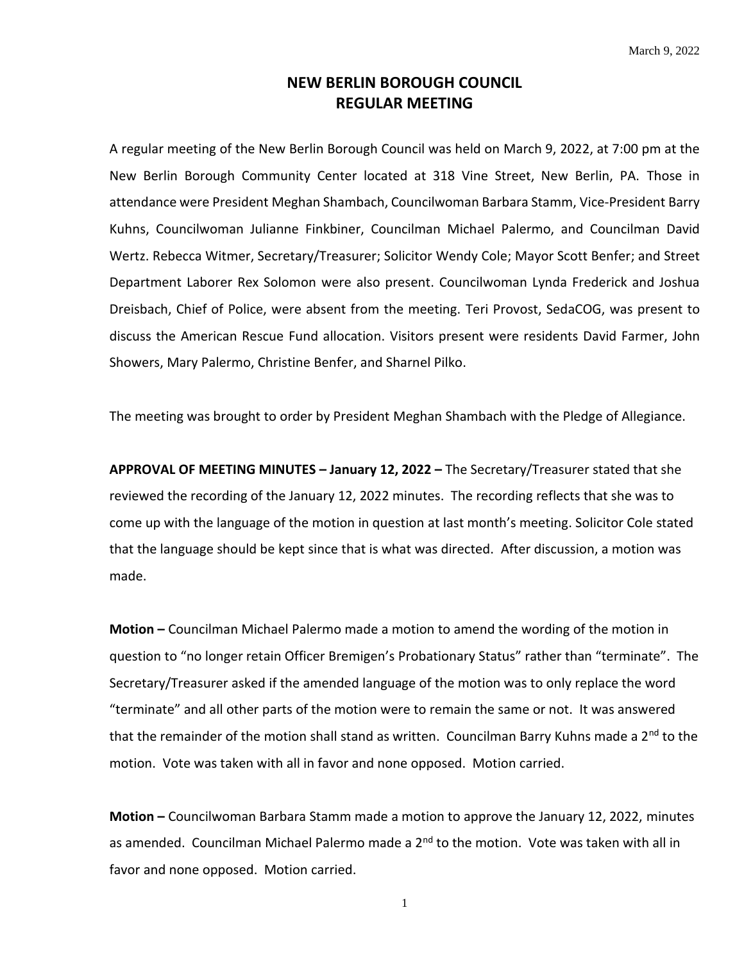## **NEW BERLIN BOROUGH COUNCIL REGULAR MEETING**

A regular meeting of the New Berlin Borough Council was held on March 9, 2022, at 7:00 pm at the New Berlin Borough Community Center located at 318 Vine Street, New Berlin, PA. Those in attendance were President Meghan Shambach, Councilwoman Barbara Stamm, Vice-President Barry Kuhns, Councilwoman Julianne Finkbiner, Councilman Michael Palermo, and Councilman David Wertz. Rebecca Witmer, Secretary/Treasurer; Solicitor Wendy Cole; Mayor Scott Benfer; and Street Department Laborer Rex Solomon were also present. Councilwoman Lynda Frederick and Joshua Dreisbach, Chief of Police, were absent from the meeting. Teri Provost, SedaCOG, was present to discuss the American Rescue Fund allocation. Visitors present were residents David Farmer, John Showers, Mary Palermo, Christine Benfer, and Sharnel Pilko.

The meeting was brought to order by President Meghan Shambach with the Pledge of Allegiance.

**APPROVAL OF MEETING MINUTES – January 12, 2022 –** The Secretary/Treasurer stated that she reviewed the recording of the January 12, 2022 minutes. The recording reflects that she was to come up with the language of the motion in question at last month's meeting. Solicitor Cole stated that the language should be kept since that is what was directed. After discussion, a motion was made.

**Motion –** Councilman Michael Palermo made a motion to amend the wording of the motion in question to "no longer retain Officer Bremigen's Probationary Status" rather than "terminate". The Secretary/Treasurer asked if the amended language of the motion was to only replace the word "terminate" and all other parts of the motion were to remain the same or not. It was answered that the remainder of the motion shall stand as written. Councilman Barry Kuhns made a 2<sup>nd</sup> to the motion. Vote was taken with all in favor and none opposed. Motion carried.

**Motion –** Councilwoman Barbara Stamm made a motion to approve the January 12, 2022, minutes as amended. Councilman Michael Palermo made a 2<sup>nd</sup> to the motion. Vote was taken with all in favor and none opposed. Motion carried.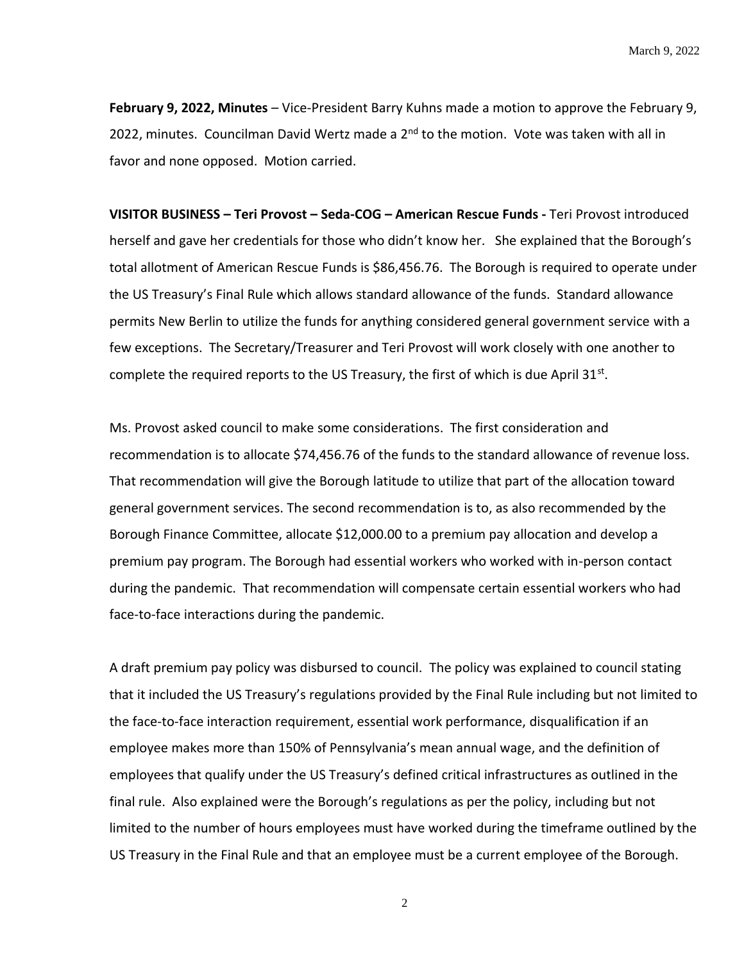**February 9, 2022, Minutes** – Vice-President Barry Kuhns made a motion to approve the February 9, 2022, minutes. Councilman David Wertz made a  $2^{nd}$  to the motion. Vote was taken with all in favor and none opposed. Motion carried.

**VISITOR BUSINESS – Teri Provost – Seda-COG – American Rescue Funds -** Teri Provost introduced herself and gave her credentials for those who didn't know her. She explained that the Borough's total allotment of American Rescue Funds is \$86,456.76. The Borough is required to operate under the US Treasury's Final Rule which allows standard allowance of the funds. Standard allowance permits New Berlin to utilize the funds for anything considered general government service with a few exceptions. The Secretary/Treasurer and Teri Provost will work closely with one another to complete the required reports to the US Treasury, the first of which is due April  $31^{st}$ .

Ms. Provost asked council to make some considerations. The first consideration and recommendation is to allocate \$74,456.76 of the funds to the standard allowance of revenue loss. That recommendation will give the Borough latitude to utilize that part of the allocation toward general government services. The second recommendation is to, as also recommended by the Borough Finance Committee, allocate \$12,000.00 to a premium pay allocation and develop a premium pay program. The Borough had essential workers who worked with in-person contact during the pandemic. That recommendation will compensate certain essential workers who had face-to-face interactions during the pandemic.

A draft premium pay policy was disbursed to council. The policy was explained to council stating that it included the US Treasury's regulations provided by the Final Rule including but not limited to the face-to-face interaction requirement, essential work performance, disqualification if an employee makes more than 150% of Pennsylvania's mean annual wage, and the definition of employees that qualify under the US Treasury's defined critical infrastructures as outlined in the final rule. Also explained were the Borough's regulations as per the policy, including but not limited to the number of hours employees must have worked during the timeframe outlined by the US Treasury in the Final Rule and that an employee must be a current employee of the Borough.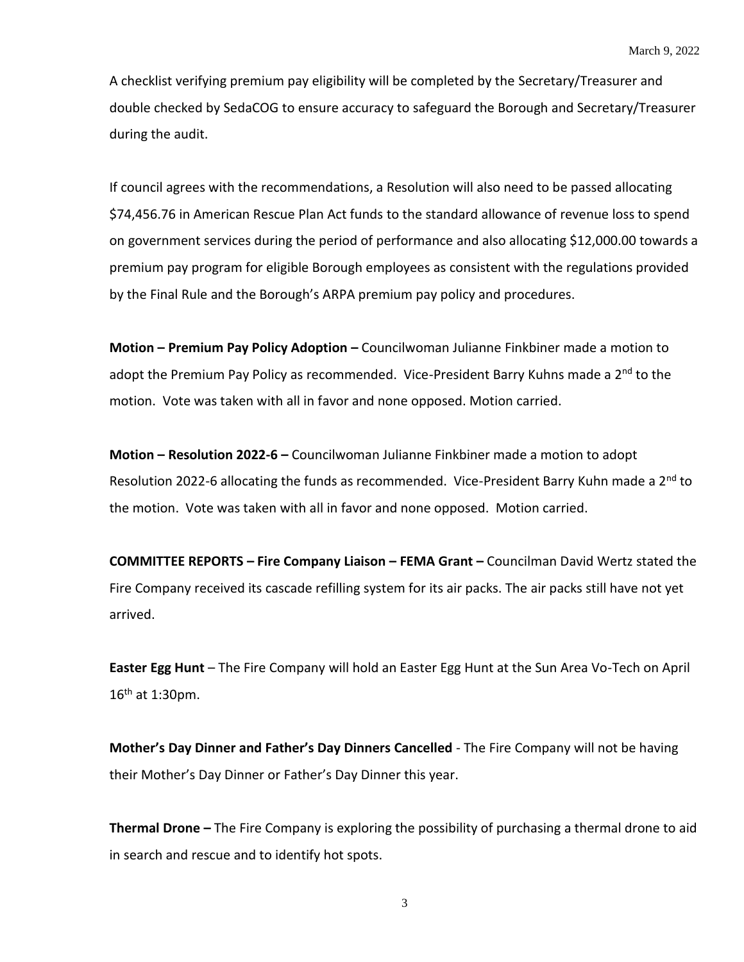A checklist verifying premium pay eligibility will be completed by the Secretary/Treasurer and double checked by SedaCOG to ensure accuracy to safeguard the Borough and Secretary/Treasurer during the audit.

If council agrees with the recommendations, a Resolution will also need to be passed allocating \$74,456.76 in American Rescue Plan Act funds to the standard allowance of revenue loss to spend on government services during the period of performance and also allocating \$12,000.00 towards a premium pay program for eligible Borough employees as consistent with the regulations provided by the Final Rule and the Borough's ARPA premium pay policy and procedures.

**Motion – Premium Pay Policy Adoption –** Councilwoman Julianne Finkbiner made a motion to adopt the Premium Pay Policy as recommended. Vice-President Barry Kuhns made a 2<sup>nd</sup> to the motion. Vote was taken with all in favor and none opposed. Motion carried.

**Motion – Resolution 2022-6 –** Councilwoman Julianne Finkbiner made a motion to adopt Resolution 2022-6 allocating the funds as recommended. Vice-President Barry Kuhn made a 2<sup>nd</sup> to the motion. Vote was taken with all in favor and none opposed. Motion carried.

**COMMITTEE REPORTS – Fire Company Liaison – FEMA Grant –** Councilman David Wertz stated the Fire Company received its cascade refilling system for its air packs. The air packs still have not yet arrived.

**Easter Egg Hunt** – The Fire Company will hold an Easter Egg Hunt at the Sun Area Vo-Tech on April 16th at 1:30pm.

**Mother's Day Dinner and Father's Day Dinners Cancelled** - The Fire Company will not be having their Mother's Day Dinner or Father's Day Dinner this year.

**Thermal Drone –** The Fire Company is exploring the possibility of purchasing a thermal drone to aid in search and rescue and to identify hot spots.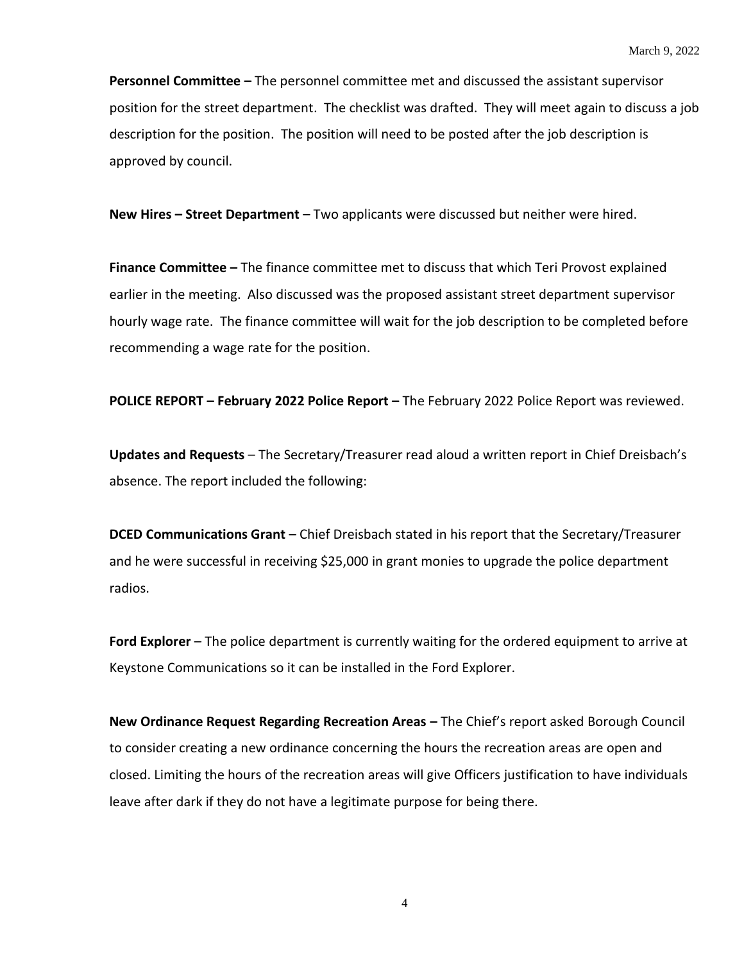**Personnel Committee –** The personnel committee met and discussed the assistant supervisor position for the street department. The checklist was drafted. They will meet again to discuss a job description for the position. The position will need to be posted after the job description is approved by council.

**New Hires – Street Department** – Two applicants were discussed but neither were hired.

**Finance Committee –** The finance committee met to discuss that which Teri Provost explained earlier in the meeting. Also discussed was the proposed assistant street department supervisor hourly wage rate. The finance committee will wait for the job description to be completed before recommending a wage rate for the position.

**POLICE REPORT – February 2022 Police Report –** The February 2022 Police Report was reviewed.

**Updates and Requests** – The Secretary/Treasurer read aloud a written report in Chief Dreisbach's absence. The report included the following:

**DCED Communications Grant** – Chief Dreisbach stated in his report that the Secretary/Treasurer and he were successful in receiving \$25,000 in grant monies to upgrade the police department radios.

**Ford Explorer** – The police department is currently waiting for the ordered equipment to arrive at Keystone Communications so it can be installed in the Ford Explorer.

**New Ordinance Request Regarding Recreation Areas –** The Chief's report asked Borough Council to consider creating a new ordinance concerning the hours the recreation areas are open and closed. Limiting the hours of the recreation areas will give Officers justification to have individuals leave after dark if they do not have a legitimate purpose for being there.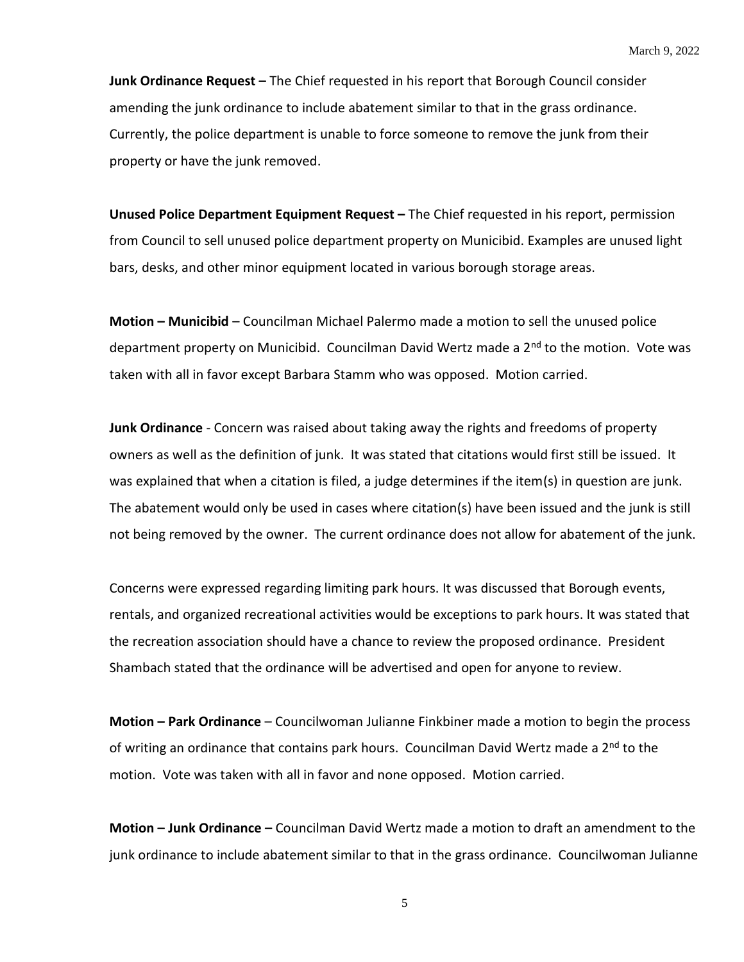**Junk Ordinance Request –** The Chief requested in his report that Borough Council consider amending the junk ordinance to include abatement similar to that in the grass ordinance. Currently, the police department is unable to force someone to remove the junk from their property or have the junk removed.

**Unused Police Department Equipment Request – The Chief requested in his report, permission** from Council to sell unused police department property on Municibid. Examples are unused light bars, desks, and other minor equipment located in various borough storage areas.

**Motion – Municibid** – Councilman Michael Palermo made a motion to sell the unused police department property on Municibid. Councilman David Wertz made a 2<sup>nd</sup> to the motion. Vote was taken with all in favor except Barbara Stamm who was opposed. Motion carried.

**Junk Ordinance** - Concern was raised about taking away the rights and freedoms of property owners as well as the definition of junk. It was stated that citations would first still be issued. It was explained that when a citation is filed, a judge determines if the item(s) in question are junk. The abatement would only be used in cases where citation(s) have been issued and the junk is still not being removed by the owner. The current ordinance does not allow for abatement of the junk.

Concerns were expressed regarding limiting park hours. It was discussed that Borough events, rentals, and organized recreational activities would be exceptions to park hours. It was stated that the recreation association should have a chance to review the proposed ordinance. President Shambach stated that the ordinance will be advertised and open for anyone to review.

**Motion – Park Ordinance** – Councilwoman Julianne Finkbiner made a motion to begin the process of writing an ordinance that contains park hours. Councilman David Wertz made a 2<sup>nd</sup> to the motion. Vote was taken with all in favor and none opposed. Motion carried.

**Motion – Junk Ordinance –** Councilman David Wertz made a motion to draft an amendment to the junk ordinance to include abatement similar to that in the grass ordinance. Councilwoman Julianne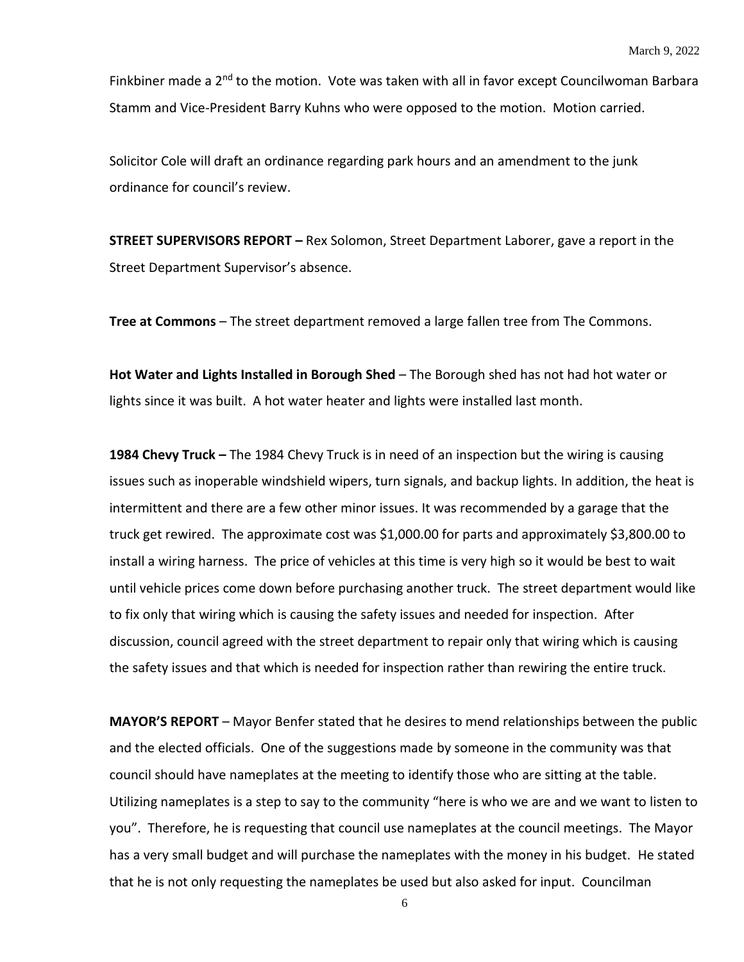Finkbiner made a 2<sup>nd</sup> to the motion. Vote was taken with all in favor except Councilwoman Barbara Stamm and Vice-President Barry Kuhns who were opposed to the motion. Motion carried.

Solicitor Cole will draft an ordinance regarding park hours and an amendment to the junk ordinance for council's review.

**STREET SUPERVISORS REPORT –** Rex Solomon, Street Department Laborer, gave a report in the Street Department Supervisor's absence.

**Tree at Commons** – The street department removed a large fallen tree from The Commons.

**Hot Water and Lights Installed in Borough Shed** – The Borough shed has not had hot water or lights since it was built. A hot water heater and lights were installed last month.

**1984 Chevy Truck –** The 1984 Chevy Truck is in need of an inspection but the wiring is causing issues such as inoperable windshield wipers, turn signals, and backup lights. In addition, the heat is intermittent and there are a few other minor issues. It was recommended by a garage that the truck get rewired. The approximate cost was \$1,000.00 for parts and approximately \$3,800.00 to install a wiring harness. The price of vehicles at this time is very high so it would be best to wait until vehicle prices come down before purchasing another truck. The street department would like to fix only that wiring which is causing the safety issues and needed for inspection. After discussion, council agreed with the street department to repair only that wiring which is causing the safety issues and that which is needed for inspection rather than rewiring the entire truck.

**MAYOR'S REPORT** – Mayor Benfer stated that he desires to mend relationships between the public and the elected officials. One of the suggestions made by someone in the community was that council should have nameplates at the meeting to identify those who are sitting at the table. Utilizing nameplates is a step to say to the community "here is who we are and we want to listen to you". Therefore, he is requesting that council use nameplates at the council meetings. The Mayor has a very small budget and will purchase the nameplates with the money in his budget. He stated that he is not only requesting the nameplates be used but also asked for input. Councilman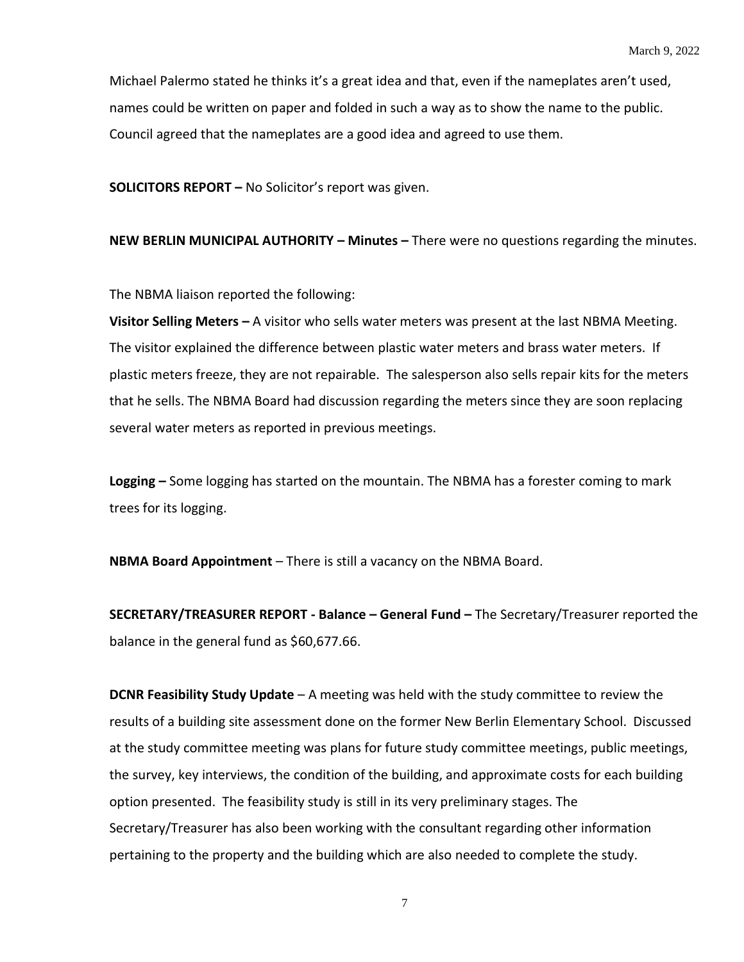Michael Palermo stated he thinks it's a great idea and that, even if the nameplates aren't used, names could be written on paper and folded in such a way as to show the name to the public. Council agreed that the nameplates are a good idea and agreed to use them.

**SOLICITORS REPORT –** No Solicitor's report was given.

**NEW BERLIN MUNICIPAL AUTHORITY – Minutes –** There were no questions regarding the minutes.

The NBMA liaison reported the following:

**Visitor Selling Meters –** A visitor who sells water meters was present at the last NBMA Meeting. The visitor explained the difference between plastic water meters and brass water meters. If plastic meters freeze, they are not repairable. The salesperson also sells repair kits for the meters that he sells. The NBMA Board had discussion regarding the meters since they are soon replacing several water meters as reported in previous meetings.

**Logging –** Some logging has started on the mountain. The NBMA has a forester coming to mark trees for its logging.

**NBMA Board Appointment** – There is still a vacancy on the NBMA Board.

**SECRETARY/TREASURER REPORT - Balance – General Fund –** The Secretary/Treasurer reported the balance in the general fund as \$60,677.66.

**DCNR Feasibility Study Update** – A meeting was held with the study committee to review the results of a building site assessment done on the former New Berlin Elementary School. Discussed at the study committee meeting was plans for future study committee meetings, public meetings, the survey, key interviews, the condition of the building, and approximate costs for each building option presented. The feasibility study is still in its very preliminary stages. The Secretary/Treasurer has also been working with the consultant regarding other information pertaining to the property and the building which are also needed to complete the study.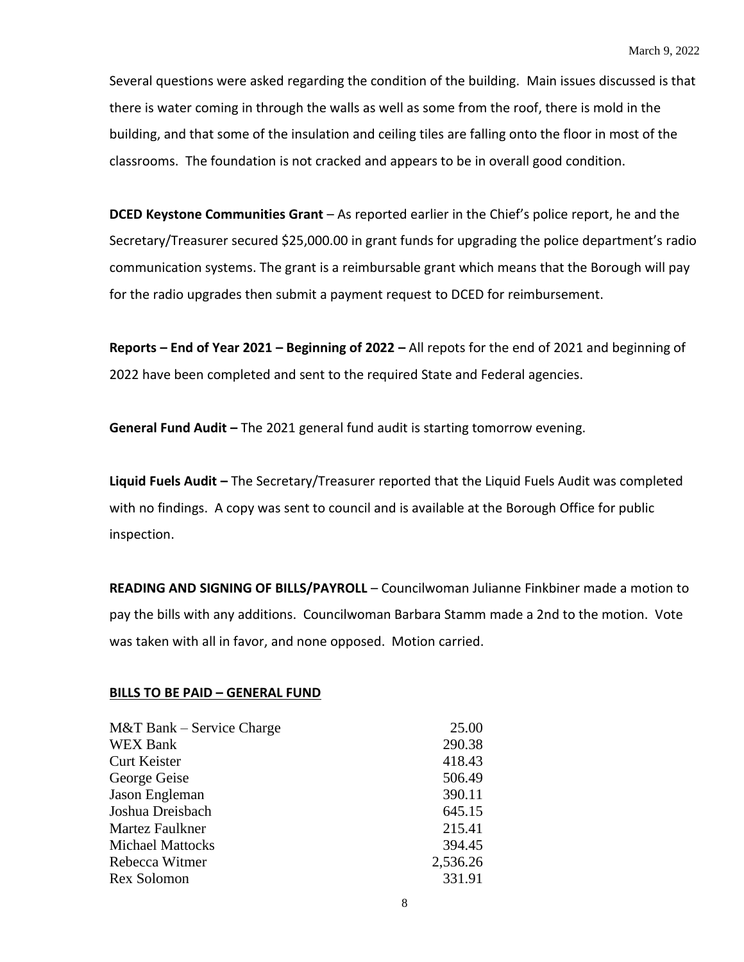Several questions were asked regarding the condition of the building. Main issues discussed is that there is water coming in through the walls as well as some from the roof, there is mold in the building, and that some of the insulation and ceiling tiles are falling onto the floor in most of the classrooms. The foundation is not cracked and appears to be in overall good condition.

**DCED Keystone Communities Grant** – As reported earlier in the Chief's police report, he and the Secretary/Treasurer secured \$25,000.00 in grant funds for upgrading the police department's radio communication systems. The grant is a reimbursable grant which means that the Borough will pay for the radio upgrades then submit a payment request to DCED for reimbursement.

**Reports – End of Year 2021 – Beginning of 2022 –** All repots for the end of 2021 and beginning of 2022 have been completed and sent to the required State and Federal agencies.

**General Fund Audit –** The 2021 general fund audit is starting tomorrow evening.

**Liquid Fuels Audit –** The Secretary/Treasurer reported that the Liquid Fuels Audit was completed with no findings. A copy was sent to council and is available at the Borough Office for public inspection.

**READING AND SIGNING OF BILLS/PAYROLL** – Councilwoman Julianne Finkbiner made a motion to pay the bills with any additions. Councilwoman Barbara Stamm made a 2nd to the motion. Vote was taken with all in favor, and none opposed. Motion carried.

## **BILLS TO BE PAID – GENERAL FUND**

| 25.00    |
|----------|
| 290.38   |
| 418.43   |
| 506.49   |
| 390.11   |
| 645.15   |
| 215.41   |
| 394.45   |
| 2,536.26 |
| 331.91   |
|          |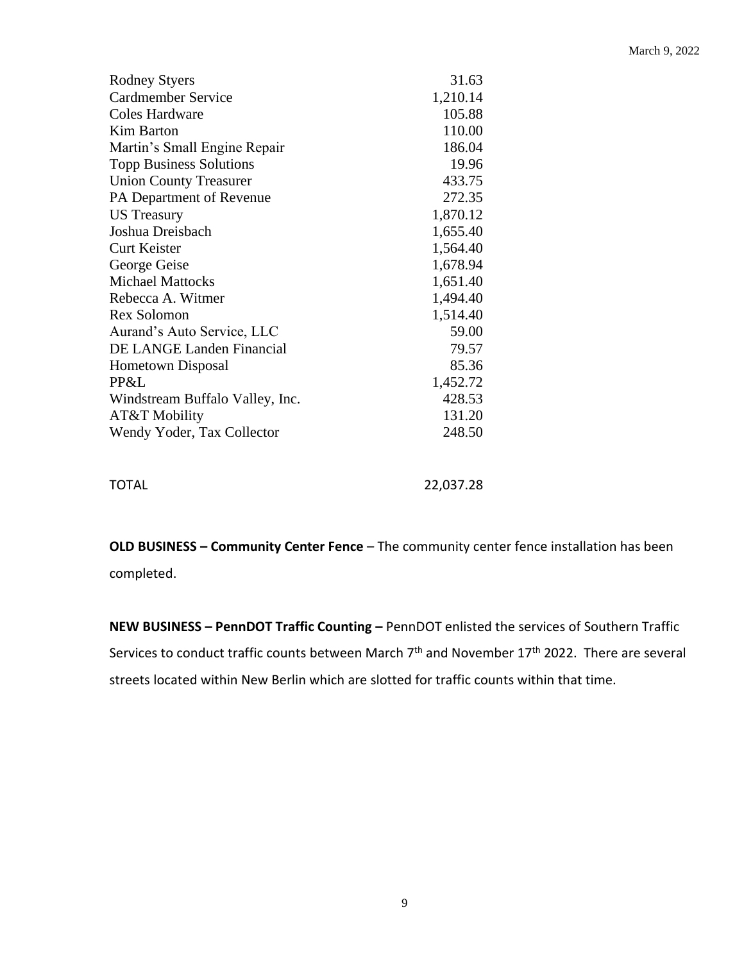| <b>Rodney Styers</b>            | 31.63    |
|---------------------------------|----------|
| Cardmember Service              | 1,210.14 |
| Coles Hardware                  | 105.88   |
| <b>Kim Barton</b>               | 110.00   |
| Martin's Small Engine Repair    | 186.04   |
| <b>Topp Business Solutions</b>  | 19.96    |
| <b>Union County Treasurer</b>   | 433.75   |
| PA Department of Revenue        | 272.35   |
| <b>US</b> Treasury              | 1,870.12 |
| Joshua Dreisbach                | 1,655.40 |
| <b>Curt Keister</b>             | 1,564.40 |
| George Geise                    | 1,678.94 |
| <b>Michael Mattocks</b>         | 1,651.40 |
| Rebecca A. Witmer               | 1,494.40 |
| <b>Rex Solomon</b>              | 1,514.40 |
| Aurand's Auto Service, LLC      | 59.00    |
| DE LANGE Landen Financial       | 79.57    |
| <b>Hometown Disposal</b>        | 85.36    |
| PP&L                            | 1,452.72 |
| Windstream Buffalo Valley, Inc. | 428.53   |
| AT&T Mobility                   | 131.20   |
| Wendy Yoder, Tax Collector      | 248.50   |
|                                 |          |
|                                 |          |

TOTAL 22,037.28

**OLD BUSINESS – Community Center Fence** – The community center fence installation has been completed.

**NEW BUSINESS – PennDOT Traffic Counting –** PennDOT enlisted the services of Southern Traffic Services to conduct traffic counts between March 7<sup>th</sup> and November 17<sup>th</sup> 2022. There are several streets located within New Berlin which are slotted for traffic counts within that time.